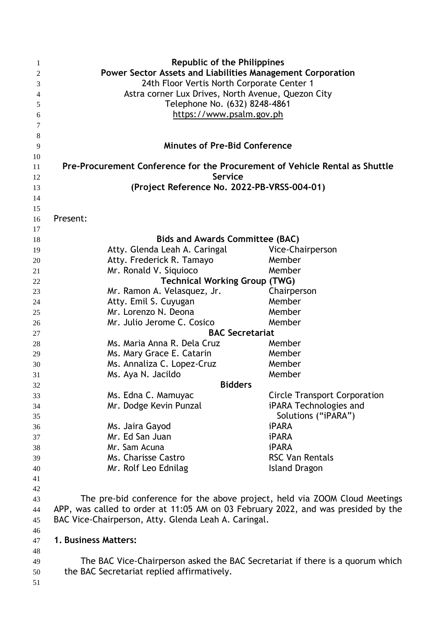| 1        | <b>Republic of the Philippines</b>                                                |                                                                            |
|----------|-----------------------------------------------------------------------------------|----------------------------------------------------------------------------|
| 2        | Power Sector Assets and Liabilities Management Corporation                        |                                                                            |
| 3        | 24th Floor Vertis North Corporate Center 1                                        |                                                                            |
| 4        | Astra corner Lux Drives, North Avenue, Quezon City                                |                                                                            |
| 5        | Telephone No. (632) 8248-4861                                                     |                                                                            |
| 6        | https://www.psalm.gov.ph                                                          |                                                                            |
| 7        |                                                                                   |                                                                            |
| 8        |                                                                                   |                                                                            |
| 9        | <b>Minutes of Pre-Bid Conference</b>                                              |                                                                            |
| 10       |                                                                                   |                                                                            |
| 11       | Pre-Procurement Conference for the Procurement of Vehicle Rental as Shuttle       |                                                                            |
| 12       | <b>Service</b>                                                                    |                                                                            |
| 13       | (Project Reference No. 2022-PB-VRSS-004-01)                                       |                                                                            |
| 14       |                                                                                   |                                                                            |
| 15       |                                                                                   |                                                                            |
| 16       | Present:                                                                          |                                                                            |
| 17       |                                                                                   |                                                                            |
| 18       | <b>Bids and Awards Committee (BAC)</b>                                            |                                                                            |
| 19       | Atty. Glenda Leah A. Caringal                                                     | Vice-Chairperson                                                           |
| 20       | Atty. Frederick R. Tamayo                                                         | Member                                                                     |
| 21       | Mr. Ronald V. Siquioco                                                            | Member                                                                     |
| 22       | <b>Technical Working Group (TWG)</b>                                              |                                                                            |
| 23       | Mr. Ramon A. Velasquez, Jr.                                                       | Chairperson                                                                |
| 24       | Atty. Emil S. Cuyugan                                                             | Member                                                                     |
| 25       | Mr. Lorenzo N. Deona                                                              | Member                                                                     |
| 26       | Mr. Julio Jerome C. Cosico<br>Member<br><b>BAC Secretariat</b>                    |                                                                            |
| 27       |                                                                                   | Member                                                                     |
| 28       | Ms. Maria Anna R. Dela Cruz                                                       | Member                                                                     |
| 29       | Ms. Mary Grace E. Catarin<br>Ms. Annaliza C. Lopez-Cruz                           | Member                                                                     |
| 30<br>31 | Ms. Aya N. Jacildo                                                                | Member                                                                     |
| 32       |                                                                                   | <b>Bidders</b>                                                             |
| 33       | Ms. Edna C. Mamuyac                                                               | <b>Circle Transport Corporation</b>                                        |
| 34       | Mr. Dodge Kevin Punzal                                                            | iPARA Technologies and                                                     |
| 35       |                                                                                   | Solutions ("iPARA")                                                        |
| 36       | Ms. Jaira Gayod                                                                   | <b>iPARA</b>                                                               |
| 37       | Mr. Ed San Juan                                                                   | <b>iPARA</b>                                                               |
| 38       | Mr. Sam Acuna                                                                     | <b>iPARA</b>                                                               |
| 39       | Ms. Charisse Castro                                                               | <b>RSC Van Rentals</b>                                                     |
| 40       | Mr. Rolf Leo Ednilag                                                              | <b>Island Dragon</b>                                                       |
| 41       |                                                                                   |                                                                            |
| 42       |                                                                                   |                                                                            |
| 43       |                                                                                   | The pre-bid conference for the above project, held via ZOOM Cloud Meetings |
| 44       | APP, was called to order at 11:05 AM on 03 February 2022, and was presided by the |                                                                            |
| 45       | BAC Vice-Chairperson, Atty. Glenda Leah A. Caringal.                              |                                                                            |
| 46       |                                                                                   |                                                                            |
| 47       | 1. Business Matters:                                                              |                                                                            |
| 48       |                                                                                   |                                                                            |
| 49       | The BAC Vice-Chairperson asked the BAC Secretariat if there is a quorum which     |                                                                            |
| 50       | the BAC Secretariat replied affirmatively.                                        |                                                                            |
| 51       |                                                                                   |                                                                            |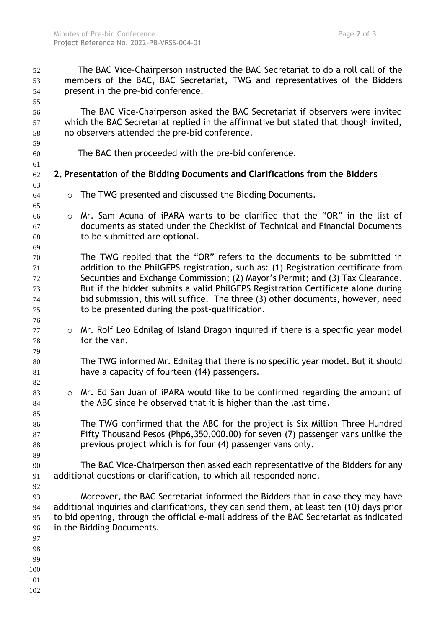The BAC Vice-Chairperson instructed the BAC Secretariat to do a roll call of the members of the BAC, BAC Secretariat, TWG and representatives of the Bidders present in the pre-bid conference. The BAC Vice-Chairperson asked the BAC Secretariat if observers were invited 57 which the BAC Secretariat replied in the affirmative but stated that though invited, no observers attended the pre-bid conference. The BAC then proceeded with the pre-bid conference. **2. Presentation of the Bidding Documents and Clarifications from the Bidders** o The TWG presented and discussed the Bidding Documents. o Mr. Sam Acuna of iPARA wants to be clarified that the "OR" in the list of documents as stated under the Checklist of Technical and Financial Documents to be submitted are optional. The TWG replied that the "OR" refers to the documents to be submitted in addition to the PhilGEPS registration, such as: (1) Registration certificate from Securities and Exchange Commission; (2) Mayor's Permit; and (3) Tax Clearance. But if the bidder submits a valid PhilGEPS Registration Certificate alone during bid submission, this will suffice. The three (3) other documents, however, need to be presented during the post-qualification. o Mr. Rolf Leo Ednilag of Island Dragon inquired if there is a specific year model for the van. The TWG informed Mr. Ednilag that there is no specific year model. But it should have a capacity of fourteen (14) passengers. 83 o Mr. Ed San Juan of iPARA would like to be confirmed regarding the amount of 84 the ABC since he observed that it is higher than the last time. The TWG confirmed that the ABC for the project is Six Million Three Hundred Fifty Thousand Pesos (Php6,350,000.00) for seven (7) passenger vans unlike the previous project which is for four (4) passenger vans only. The BAC Vice-Chairperson then asked each representative of the Bidders for any additional questions or clarification, to which all responded none. Moreover, the BAC Secretariat informed the Bidders that in case they may have additional inquiries and clarifications, they can send them, at least ten (10) days prior to bid opening, through the official e-mail address of the BAC Secretariat as indicated in the Bidding Documents.